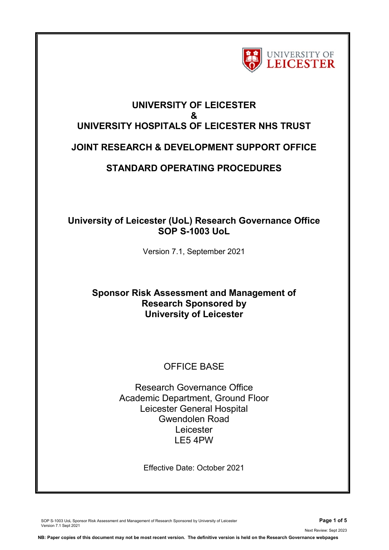

# **UNIVERSITY OF LEICESTER & UNIVERSITY HOSPITALS OF LEICESTER NHS TRUST JOINT RESEARCH & DEVELOPMENT SUPPORT OFFICE**

## **STANDARD OPERATING PROCEDURES**

## **University of Leicester (UoL) Research Governance Office SOP S-1003 UoL**

Version 7.1, September 2021

## **Sponsor Risk Assessment and Management of Research Sponsored by University of Leicester**

## OFFICE BASE

Research Governance Office Academic Department, Ground Floor Leicester General Hospital Gwendolen Road Leicester LE5 4PW

Effective Date: October 2021

SOP S-1003 UoL Sponsor Risk Assessment and Management of Research Sponsored by University of Leicester **Page 1 of 5** Version 7.1 Sept 2021

Next Review: Sept 2023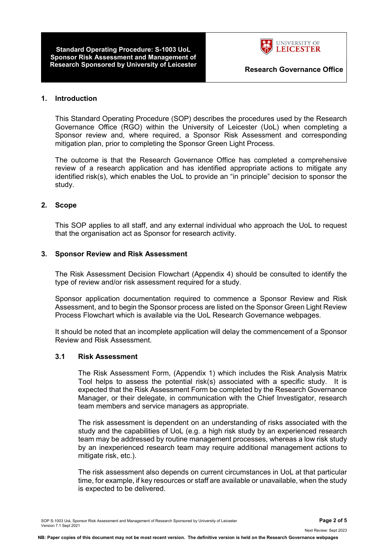**Standard Operating Procedure: S-1003 UoL Sponsor Risk Assessment and Management of Research Sponsored by University of Leicester <b>Research Governance Office** 



## **1. Introduction**

This Standard Operating Procedure (SOP) describes the procedures used by the Research Governance Office (RGO) within the University of Leicester (UoL) when completing a Sponsor review and, where required, a Sponsor Risk Assessment and corresponding mitigation plan, prior to completing the Sponsor Green Light Process.

The outcome is that the Research Governance Office has completed a comprehensive review of a research application and has identified appropriate actions to mitigate any identified risk(s), which enables the UoL to provide an "in principle" decision to sponsor the study.

## **2. Scope**

This SOP applies to all staff, and any external individual who approach the UoL to request that the organisation act as Sponsor for research activity.

#### **3. Sponsor Review and Risk Assessment**

The Risk Assessment Decision Flowchart (Appendix 4) should be consulted to identify the type of review and/or risk assessment required for a study.

Sponsor application documentation required to commence a Sponsor Review and Risk Assessment, and to begin the Sponsor process are listed on the Sponsor Green Light Review Process Flowchart which is available via the UoL Research Governance webpages.

It should be noted that an incomplete application will delay the commencement of a Sponsor Review and Risk Assessment.

#### **3.1 Risk Assessment**

The Risk Assessment Form, (Appendix 1) which includes the Risk Analysis Matrix Tool helps to assess the potential risk(s) associated with a specific study. It is expected that the Risk Assessment Form be completed by the Research Governance Manager, or their delegate, in communication with the Chief Investigator, research team members and service managers as appropriate.

The risk assessment is dependent on an understanding of risks associated with the study and the capabilities of UoL (e.g. a high risk study by an experienced research team may be addressed by routine management processes, whereas a low risk study by an inexperienced research team may require additional management actions to mitigate risk, etc.).

The risk assessment also depends on current circumstances in UoL at that particular time, for example, if key resources or staff are available or unavailable, when the study is expected to be delivered.

Next Review: Sept 2023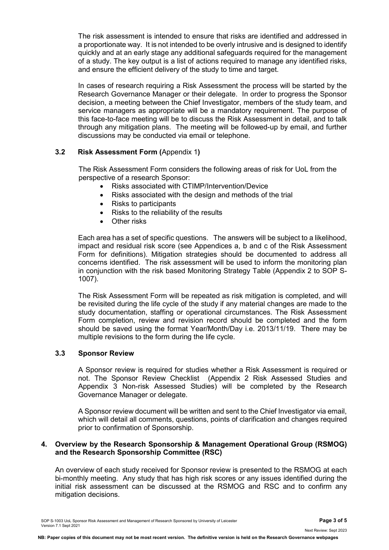The risk assessment is intended to ensure that risks are identified and addressed in a proportionate way. It is not intended to be overly intrusive and is designed to identify quickly and at an early stage any additional safeguards required for the management of a study. The key output is a list of actions required to manage any identified risks, and ensure the efficient delivery of the study to time and target.

In cases of research requiring a Risk Assessment the process will be started by the Research Governance Manager or their delegate. In order to progress the Sponsor decision, a meeting between the Chief Investigator, members of the study team, and service managers as appropriate will be a mandatory requirement. The purpose of this face-to-face meeting will be to discuss the Risk Assessment in detail, and to talk through any mitigation plans. The meeting will be followed-up by email, and further discussions may be conducted via email or telephone.

## **3.2 Risk Assessment Form (**Appendix 1**)**

The Risk Assessment Form considers the following areas of risk for UoL from the perspective of a research Sponsor:

- Risks associated with CTIMP/Intervention/Device
- Risks associated with the design and methods of the trial
- Risks to participants
- Risks to the reliability of the results
- Other risks

Each area has a set of specific questions. The answers will be subject to a likelihood, impact and residual risk score (see Appendices a, b and c of the Risk Assessment Form for definitions). Mitigation strategies should be documented to address all concerns identified. The risk assessment will be used to inform the monitoring plan in conjunction with the risk based Monitoring Strategy Table (Appendix 2 to SOP S-1007).

The Risk Assessment Form will be repeated as risk mitigation is completed, and will be revisited during the life cycle of the study if any material changes are made to the study documentation, staffing or operational circumstances. The Risk Assessment Form completion, review and revision record should be completed and the form should be saved using the format Year/Month/Day i.e. 2013/11/19. There may be multiple revisions to the form during the life cycle.

#### **3.3 Sponsor Review**

A Sponsor review is required for studies whether a Risk Assessment is required or not. The Sponsor Review Checklist (Appendix 2 Risk Assessed Studies and Appendix 3 Non-risk Assessed Studies) will be completed by the Research Governance Manager or delegate.

A Sponsor review document will be written and sent to the Chief Investigator via email, which will detail all comments, questions, points of clarification and changes required prior to confirmation of Sponsorship.

#### **4. Overview by the Research Sponsorship & Management Operational Group (RSMOG) and the Research Sponsorship Committee (RSC)**

An overview of each study received for Sponsor review is presented to the RSMOG at each bi-monthly meeting. Any study that has high risk scores or any issues identified during the initial risk assessment can be discussed at the RSMOG and RSC and to confirm any mitigation decisions.

Next Review: Sept 2023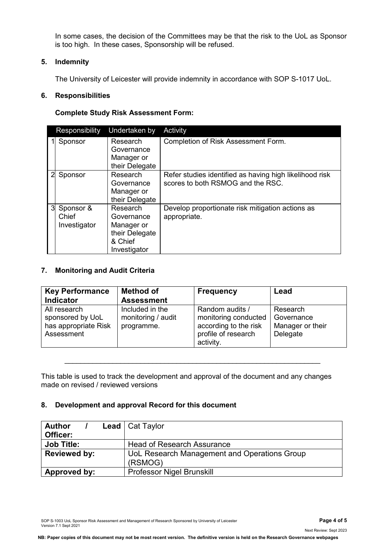In some cases, the decision of the Committees may be that the risk to the UoL as Sponsor is too high. In these cases, Sponsorship will be refused.

## **5. Indemnity**

The University of Leicester will provide indemnity in accordance with SOP S-1017 UoL.

### **6. Responsibilities**

### **Complete Study Risk Assessment Form:**

|   | Responsibility                     | Undertaken by                                                                     | Activity                                                                                     |
|---|------------------------------------|-----------------------------------------------------------------------------------|----------------------------------------------------------------------------------------------|
|   | Sponsor                            | Research<br>Governance<br>Manager or<br>their Delegate                            | Completion of Risk Assessment Form.                                                          |
|   | Sponsor                            | Research<br>Governance<br>Manager or<br>their Delegate                            | Refer studies identified as having high likelihood risk<br>scores to both RSMOG and the RSC. |
| 3 | Sponsor &<br>Chief<br>Investigator | Research<br>Governance<br>Manager or<br>their Delegate<br>& Chief<br>Investigator | Develop proportionate risk mitigation actions as<br>appropriate.                             |

## **7. Monitoring and Audit Criteria**

| <b>Key Performance</b>                                                 | <b>Method of</b>                                    | <b>Frequency</b>                                                                                     | Lead                                                   |
|------------------------------------------------------------------------|-----------------------------------------------------|------------------------------------------------------------------------------------------------------|--------------------------------------------------------|
| <b>Indicator</b>                                                       | <b>Assessment</b>                                   |                                                                                                      |                                                        |
| All research<br>sponsored by UoL<br>has appropriate Risk<br>Assessment | Included in the<br>monitoring / audit<br>programme. | Random audits /<br>monitoring conducted<br>according to the risk<br>profile of research<br>activity. | Research<br>Governance<br>Manager or their<br>Delegate |

This table is used to track the development and approval of the document and any changes made on revised / reviewed versions

\_\_\_\_\_\_\_\_\_\_\_\_\_\_\_\_\_\_\_\_\_\_\_\_\_\_\_\_\_\_\_\_\_\_\_\_\_\_\_\_\_\_\_\_\_\_\_\_\_\_\_\_\_\_\_\_\_\_\_\_\_\_\_\_

## **8. Development and approval Record for this document**

| <b>Author</b><br>Officer: | <b>Lead</b>   Cat Taylor                                |  |
|---------------------------|---------------------------------------------------------|--|
| <b>Job Title:</b>         | <b>Head of Research Assurance</b>                       |  |
| <b>Reviewed by:</b>       | UoL Research Management and Operations Group<br>(RSMOG) |  |
| Approved by:              | <b>Professor Nigel Brunskill</b>                        |  |